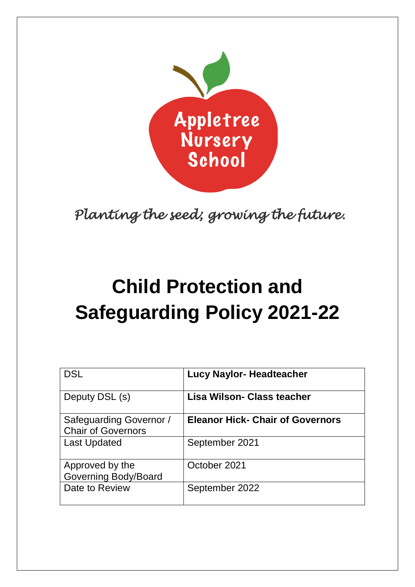

*Planting the seed; growing the future.* 

# **Child Protection and Safeguarding Policy 2021-22**

| <b>DSL</b>                                           | <b>Lucy Naylor-Headteacher</b>          |
|------------------------------------------------------|-----------------------------------------|
| Deputy DSL (s)                                       | Lisa Wilson- Class teacher              |
| Safeguarding Governor /<br><b>Chair of Governors</b> | <b>Eleanor Hick- Chair of Governors</b> |
| <b>Last Updated</b>                                  | September 2021                          |
| Approved by the<br><b>Governing Body/Board</b>       | October 2021                            |
| Date to Review                                       | September 2022                          |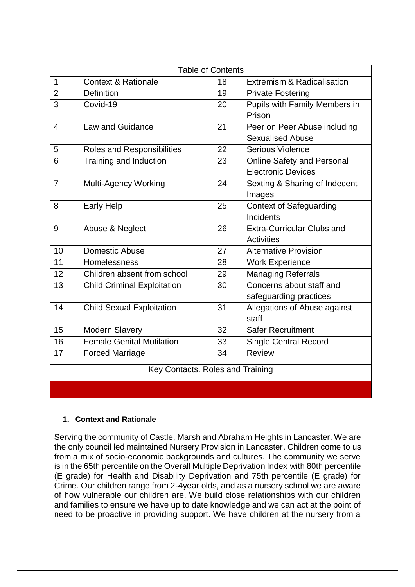| <b>Table of Contents</b>         |                                    |    |                                   |  |
|----------------------------------|------------------------------------|----|-----------------------------------|--|
| $\mathbf{1}$                     | <b>Context &amp; Rationale</b>     | 18 | Extremism & Radicalisation        |  |
| $\overline{2}$                   | <b>Definition</b>                  | 19 | <b>Private Fostering</b>          |  |
| 3                                | Covid-19                           | 20 | Pupils with Family Members in     |  |
|                                  |                                    |    | Prison                            |  |
| $\overline{4}$                   | Law and Guidance                   | 21 | Peer on Peer Abuse including      |  |
|                                  |                                    |    | <b>Sexualised Abuse</b>           |  |
| 5                                | Roles and Responsibilities         | 22 | Serious Violence                  |  |
| 6                                | Training and Induction             | 23 | <b>Online Safety and Personal</b> |  |
|                                  |                                    |    | <b>Electronic Devices</b>         |  |
| $\overline{7}$                   | Multi-Agency Working               | 24 | Sexting & Sharing of Indecent     |  |
|                                  |                                    |    | Images                            |  |
| 8                                | <b>Early Help</b>                  | 25 | <b>Context of Safeguarding</b>    |  |
|                                  |                                    |    | Incidents                         |  |
| 9                                | Abuse & Neglect                    | 26 | <b>Extra-Curricular Clubs and</b> |  |
|                                  |                                    |    | <b>Activities</b>                 |  |
| 10                               | <b>Domestic Abuse</b>              | 27 | <b>Alternative Provision</b>      |  |
| 11                               | Homelessness                       | 28 | <b>Work Experience</b>            |  |
| 12                               | Children absent from school        | 29 | <b>Managing Referrals</b>         |  |
| 13                               | <b>Child Criminal Exploitation</b> | 30 | Concerns about staff and          |  |
|                                  |                                    |    | safeguarding practices            |  |
| 14                               | <b>Child Sexual Exploitation</b>   | 31 | Allegations of Abuse against      |  |
|                                  |                                    |    | staff                             |  |
| 15                               | Modern Slavery                     | 32 | <b>Safer Recruitment</b>          |  |
| 16                               | <b>Female Genital Mutilation</b>   | 33 | <b>Single Central Record</b>      |  |
| 17                               | <b>Forced Marriage</b>             | 34 | <b>Review</b>                     |  |
| Key Contacts. Roles and Training |                                    |    |                                   |  |
|                                  |                                    |    |                                   |  |

## **1. Context and Rationale**

Serving the community of Castle, Marsh and Abraham Heights in Lancaster. We are the only council led maintained Nursery Provision in Lancaster. Children come to us from a mix of socio-economic backgrounds and cultures. The community we serve is in the 65th percentile on the Overall Multiple Deprivation Index with 80th percentile (E grade) for Health and Disability Deprivation and 75th percentile (E grade) for  $\overrightarrow{C}$ rime. Our children range from 2-4year olds, and as a nursery school we are aware of how vulnerable our children are. We build close relationships with our children and families to ensure we have up to date knowledge and we can act at the point of need to be proactive in providing support. We have children at the nursery from a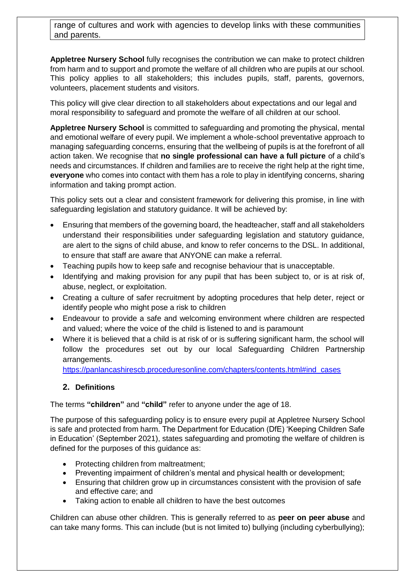range of cultures and work with agencies to develop links with these communities and parents.

**Appletree Nursery School** fully recognises the contribution we can make to protect children from harm and to support and promote the welfare of all children who are pupils at our school. This policy applies to all stakeholders; this includes pupils, staff, parents, governors, volunteers, placement students and visitors.

This policy will give clear direction to all stakeholders about expectations and our legal and moral responsibility to safeguard and promote the welfare of all children at our school.

**Appletree Nursery School** is committed to safeguarding and promoting the physical, mental and emotional welfare of every pupil. We implement a whole-school preventative approach to managing safeguarding concerns, ensuring that the wellbeing of pupils is at the forefront of all action taken. We recognise that **no single professional can have a full picture** of a child's needs and circumstances. If children and families are to receive the right help at the right time, **everyone** who comes into contact with them has a role to play in identifying concerns, sharing information and taking prompt action.

This policy sets out a clear and consistent framework for delivering this promise, in line with safeguarding legislation and statutory guidance. It will be achieved by:

- Ensuring that members of the governing board, the headteacher, staff and all stakeholders understand their responsibilities under safeguarding legislation and statutory guidance, are alert to the signs of child abuse, and know to refer concerns to the DSL. In additional, to ensure that staff are aware that ANYONE can make a referral.
- Teaching pupils how to keep safe and recognise behaviour that is unacceptable.
- Identifying and making provision for any pupil that has been subject to, or is at risk of, abuse, neglect, or exploitation.
- Creating a culture of safer recruitment by adopting procedures that help deter, reject or identify people who might pose a risk to children
- Endeavour to provide a safe and welcoming environment where children are respected and valued; where the voice of the child is listened to and is paramount
- Where it is believed that a child is at risk of or is suffering significant harm, the school will follow the procedures set out by our local Safeguarding Children Partnership arrangements.

[https://panlancashirescb.proceduresonline.com/chapters/contents.html#ind\\_cases](https://panlancashirescb.proceduresonline.com/chapters/contents.html#ind_cases)

#### **2. Definitions**

The terms **"children"** and **"child"** refer to anyone under the age of 18.

The purpose of this safeguarding policy is to ensure every pupil at Appletree Nursery School is safe and protected from harm. The Department for Education (DfE) 'Keeping Children Safe in Education' (September 2021), states safeguarding and promoting the welfare of children is defined for the purposes of this guidance as:

- Protecting children from maltreatment;
- Preventing impairment of children's mental and physical health or development;
- Ensuring that children grow up in circumstances consistent with the provision of safe and effective care; and
- Taking action to enable all children to have the best outcomes

Children can abuse other children. This is generally referred to as **peer on peer abuse** and can take many forms. This can include (but is not limited to) bullying (including cyberbullying);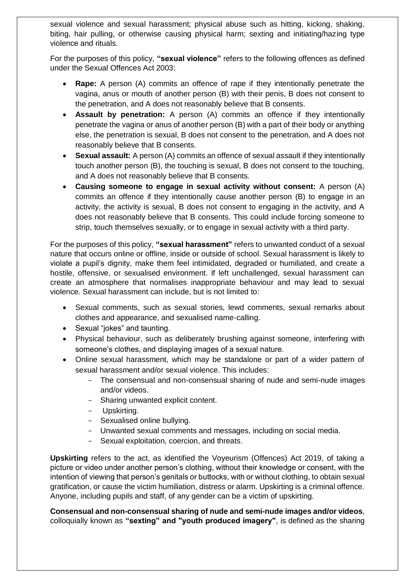sexual violence and sexual harassment; physical abuse such as hitting, kicking, shaking, biting, hair pulling, or otherwise causing physical harm; sexting and initiating/hazing type violence and rituals.

For the purposes of this policy, **"sexual violence"** refers to the following offences as defined under the Sexual Offences Act 2003:

- **Rape:** A person (A) commits an offence of rape if they intentionally penetrate the vagina, anus or mouth of another person (B) with their penis, B does not consent to the penetration, and A does not reasonably believe that B consents.
- **Assault by penetration:** A person (A) commits an offence if they intentionally penetrate the vagina or anus of another person (B) with a part of their body or anything else, the penetration is sexual, B does not consent to the penetration, and A does not reasonably believe that B consents.
- **Sexual assault:** A person (A) commits an offence of sexual assault if they intentionally touch another person (B), the touching is sexual, B does not consent to the touching, and A does not reasonably believe that B consents.
- **Causing someone to engage in sexual activity without consent:** A person (A) commits an offence if they intentionally cause another person (B) to engage in an activity, the activity is sexual, B does not consent to engaging in the activity, and A does not reasonably believe that B consents. This could include forcing someone to strip, touch themselves sexually, or to engage in sexual activity with a third party.

For the purposes of this policy, **"sexual harassment"** refers to unwanted conduct of a sexual nature that occurs online or offline, inside or outside of school. Sexual harassment is likely to violate a pupil's dignity, make them feel intimidated, degraded or humiliated, and create a hostile, offensive, or sexualised environment. If left unchallenged, sexual harassment can create an atmosphere that normalises inappropriate behaviour and may lead to sexual violence. Sexual harassment can include, but is not limited to:

- Sexual comments, such as sexual stories, lewd comments, sexual remarks about clothes and appearance, and sexualised name-calling.
- Sexual "jokes" and taunting.
- Physical behaviour, such as deliberately brushing against someone, interfering with someone's clothes, and displaying images of a sexual nature.
- Online sexual harassment, which may be standalone or part of a wider pattern of sexual harassment and/or sexual violence. This includes:
	- The consensual and non-consensual sharing of nude and semi-nude images and/or videos.
	- Sharing unwanted explicit content.
	- Upskirting.
	- Sexualised online bullying.
	- Unwanted sexual comments and messages, including on social media.
	- Sexual exploitation, coercion, and threats.

**Upskirting** refers to the act, as identified the Voyeurism (Offences) Act 2019, of taking a picture or video under another person's clothing, without their knowledge or consent, with the intention of viewing that person's genitals or buttocks, with or without clothing, to obtain sexual gratification, or cause the victim humiliation, distress or alarm. Upskirting is a criminal offence. Anyone, including pupils and staff, of any gender can be a victim of upskirting.

**Consensual and non-consensual sharing of nude and semi-nude images and/or videos**, colloquially known as **"sexting" and "youth produced imagery"**, is defined as the sharing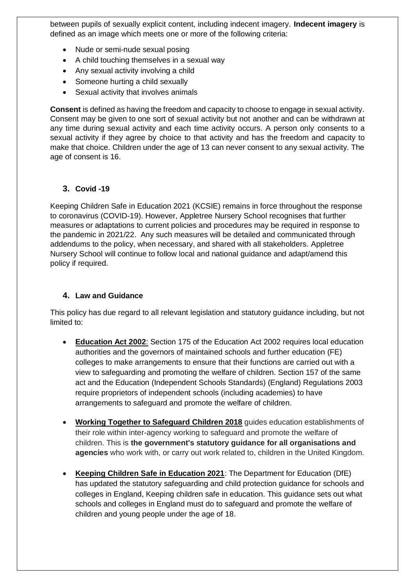between pupils of sexually explicit content, including indecent imagery. **Indecent imagery** is defined as an image which meets one or more of the following criteria:

- Nude or semi-nude sexual posing
- A child touching themselves in a sexual way
- Any sexual activity involving a child
- Someone hurting a child sexually
- Sexual activity that involves animals

**Consent** is defined as having the freedom and capacity to choose to engage in sexual activity. Consent may be given to one sort of sexual activity but not another and can be withdrawn at any time during sexual activity and each time activity occurs. A person only consents to a sexual activity if they agree by choice to that activity and has the freedom and capacity to make that choice. Children under the age of 13 can never consent to any sexual activity. The age of consent is 16.

#### **3. Covid -19**

Keeping Children Safe in Education 2021 (KCSIE) remains in force throughout the response to coronavirus (COVID-19). However, Appletree Nursery School recognises that further measures or adaptations to current policies and procedures may be required in response to the pandemic in 2021/22. Any such measures will be detailed and communicated through addendums to the policy, when necessary, and shared with all stakeholders. Appletree Nursery School will continue to follow local and national guidance and adapt/amend this policy if required.

#### **4. Law and Guidance**

This policy has due regard to all relevant legislation and statutory guidance including, but not limited to:

- **[Education Act 2002](http://www.legislation.gov.uk/ukpga/2002/32/contents)**: Section 175 of the Education Act 2002 requires local education authorities and the governors of maintained schools and further education (FE) colleges to make arrangements to ensure that their functions are carried out with a view to safeguarding and promoting the welfare of children. Section 157 of the same act and the Education (Independent Schools Standards) (England) Regulations 2003 require proprietors of independent schools (including academies) to have arrangements to safeguard and promote the welfare of children.
- **[Working Together to Safeguard Children 2018](https://www.gov.uk/government/publications/working-together-to-safeguard-children--2)** guides education establishments of their role within inter-agency working to safeguard and promote the welfare of children. This is **the government's statutory guidance for all organisations and agencies** who work with, or carry out work related to, children in the United Kingdom.
- **[Keeping Children Safe in Education 2021](https://assets.publishing.service.gov.uk/government/uploads/system/uploads/attachment_data/file/892394/Keeping_children_safe_in_education_2020.pdf)**: The Department for Education (DfE) has updated the statutory safeguarding and child protection guidance for schools and colleges in England, Keeping children safe in education. This guidance sets out what schools and colleges in England must do to safeguard and promote the welfare of children and young people under the age of 18.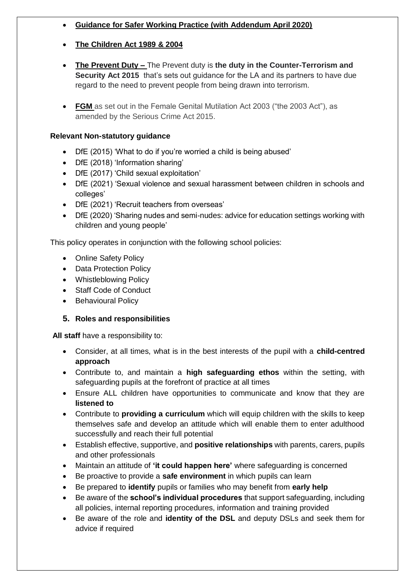- **[Guidance for Safer Working Practice \(with Addendum April 2020\)](https://www.saferrecruitmentconsortium.org/GSWP%20COVID%20addendum%20April%202020%20final-1.pdf)**
- **[The Children Act 1989](http://www.legislation.gov.uk/ukpga/1989/41/contents) & 2004**
- **The Prevent Duty –** The Prevent duty is **the duty in the Counter-Terrorism and Security Act 2015** that's sets out guidance for the LA and its partners to have due regard to the need to prevent people from being drawn into terrorism.
- **FGM** as set out in the Female Genital Mutilation Act 2003 ("the 2003 Act"), as amended by the Serious Crime Act 2015.

#### **Relevant Non-statutory guidance**

- DfE (2015) 'What to do if you're worried a child is being abused'
- DfE (2018) 'Information sharing'
- DfE (2017) 'Child sexual exploitation'
- DfE (2021) 'Sexual violence and sexual harassment between children in schools and colleges'
- DfE (2021) 'Recruit teachers from overseas'
- DfE (2020) 'Sharing nudes and semi-nudes: advice for education settings working with children and young people'

This policy operates in conjunction with the following school policies:

- Online Safety Policy
- Data Protection Policy
- Whistleblowing Policy
- Staff Code of Conduct
- Behavioural Policy

## **5. Roles and responsibilities**

**All staff** have a responsibility to:

- Consider, at all times, what is in the best interests of the pupil with a **child-centred approach**
- Contribute to, and maintain a **high safeguarding ethos** within the setting, with safeguarding pupils at the forefront of practice at all times
- Ensure ALL children have opportunities to communicate and know that they are **listened to**
- Contribute to **providing a curriculum** which will equip children with the skills to keep themselves safe and develop an attitude which will enable them to enter adulthood successfully and reach their full potential
- Establish effective, supportive, and **positive relationships** with parents, carers, pupils and other professionals
- Maintain an attitude of **'it could happen here'** where safeguarding is concerned
- Be proactive to provide a **safe environment** in which pupils can learn
- Be prepared to **identify** pupils or families who may benefit from **early help**
- Be aware of the **school's individual procedures** that support safeguarding, including all policies, internal reporting procedures, information and training provided
- Be aware of the role and **identity of the DSL** and deputy DSLs and seek them for advice if required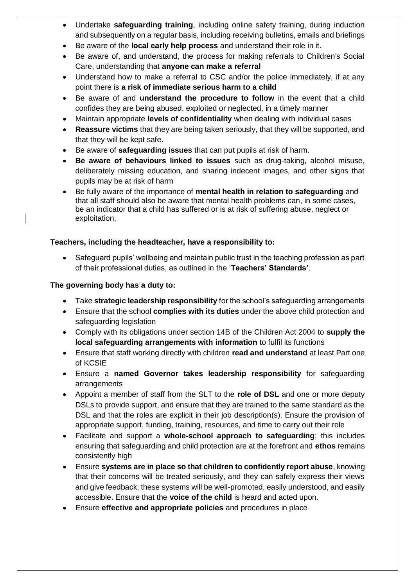- Undertake **safeguarding training**, including online safety training, during induction and subsequently on a regular basis, including receiving bulletins, emails and briefings
- Be aware of the **local early help process** and understand their role in it.
- Be aware of, and understand, the process for making referrals to Children's Social Care, understanding that **anyone can make a referral**
- Understand how to make a referral to CSC and/or the police immediately, if at any point there is **a risk of immediate serious harm to a child**
- Be aware of and **understand the procedure to follow** in the event that a child confides they are being abused, exploited or neglected, in a timely manner
- Maintain appropriate **levels of confidentiality** when dealing with individual cases
- **Reassure victims** that they are being taken seriously, that they will be supported, and that they will be kept safe.
- Be aware of **safeguarding issues** that can put pupils at risk of harm.
- **Be aware of behaviours linked to issues** such as drug-taking, alcohol misuse, deliberately missing education, and sharing indecent images, and other signs that pupils may be at risk of harm
- Be fully aware of the importance of **mental health in relation to safeguarding** and that all staff should also be aware that mental health problems can, in some cases, be an indicator that a child has suffered or is at risk of suffering abuse, neglect or exploitation.

## **Teachers, including the headteacher, have a responsibility to:**

• Safeguard pupils' wellbeing and maintain public trust in the teaching profession as part of their professional duties, as outlined in the '**Teachers' Standards'**.

## **The governing body has a duty to:**

- Take **strategic leadership responsibility** for the school's safeguarding arrangements
- Ensure that the school **complies with its duties** under the above child protection and safeguarding legislation
- Comply with its obligations under section 14B of the Children Act 2004 to **supply the local safeguarding arrangements with information** to fulfil its functions
- Ensure that staff working directly with children **read and understand** at least Part one of KCSIE
- Ensure a **named Governor takes leadership responsibility** for safeguarding arrangements
- Appoint a member of staff from the SLT to the **role of DSL** and one or more deputy DSLs to provide support, and ensure that they are trained to the same standard as the DSL and that the roles are explicit in their job description(s). Ensure the provision of appropriate support, funding, training, resources, and time to carry out their role
- Facilitate and support a **whole-school approach to safeguarding**; this includes ensuring that safeguarding and child protection are at the forefront and **ethos** remains consistently high
- Ensure **systems are in place so that children to confidently report abuse**, knowing that their concerns will be treated seriously, and they can safely express their views and give feedback; these systems will be well-promoted, easily understood, and easily accessible. Ensure that the **voice of the child** is heard and acted upon.
- Ensure **effective and appropriate policies** and procedures in place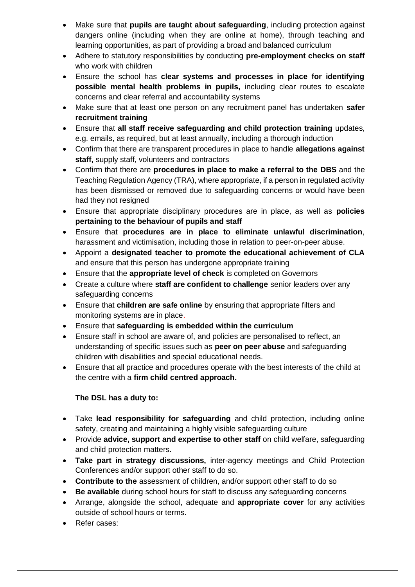- Make sure that **pupils are taught about safeguarding**, including protection against dangers online (including when they are online at home), through teaching and learning opportunities, as part of providing a broad and balanced curriculum
- Adhere to statutory responsibilities by conducting **pre-employment checks on staff** who work with children
- Ensure the school has **clear systems and processes in place for identifying possible mental health problems in pupils,** including clear routes to escalate concerns and clear referral and accountability systems
- Make sure that at least one person on any recruitment panel has undertaken **safer recruitment training**
- Ensure that **all staff receive safeguarding and child protection training** updates, e.g. emails, as required, but at least annually, including a thorough induction
- Confirm that there are transparent procedures in place to handle **allegations against staff,** supply staff, volunteers and contractors
- Confirm that there are **procedures in place to make a referral to the DBS** and the Teaching Regulation Agency (TRA), where appropriate, if a person in regulated activity has been dismissed or removed due to safeguarding concerns or would have been had they not resigned
- Ensure that appropriate disciplinary procedures are in place, as well as **policies pertaining to the behaviour of pupils and staff**
- Ensure that **procedures are in place to eliminate unlawful discrimination**, harassment and victimisation, including those in relation to peer-on-peer abuse.
- Appoint a **designated teacher to promote the educational achievement of CLA** and ensure that this person has undergone appropriate training
- Ensure that the **appropriate level of check** is completed on Governors
- Create a culture where **staff are confident to challenge** senior leaders over any safeguarding concerns
- Ensure that **children are safe online** by ensuring that appropriate filters and monitoring systems are in place.
- Ensure that **safeguarding is embedded within the curriculum**
- Ensure staff in school are aware of, and policies are personalised to reflect, an understanding of specific issues such as **peer on peer abuse** and safeguarding children with disabilities and special educational needs.
- Ensure that all practice and procedures operate with the best interests of the child at the centre with a **firm child centred approach.**

# **The DSL has a duty to:**

- Take **lead responsibility for safeguarding** and child protection, including online safety, creating and maintaining a highly visible safeguarding culture
- Provide **advice, support and expertise to other staff** on child welfare, safeguarding and child protection matters.
- **Take part in strategy discussions,** inter-agency meetings and Child Protection Conferences and/or support other staff to do so.
- **Contribute to the** assessment of children, and/or support other staff to do so
- **Be available** during school hours for staff to discuss any safeguarding concerns
- Arrange, alongside the school, adequate and **appropriate cover** for any activities outside of school hours or terms.
- Refer cases: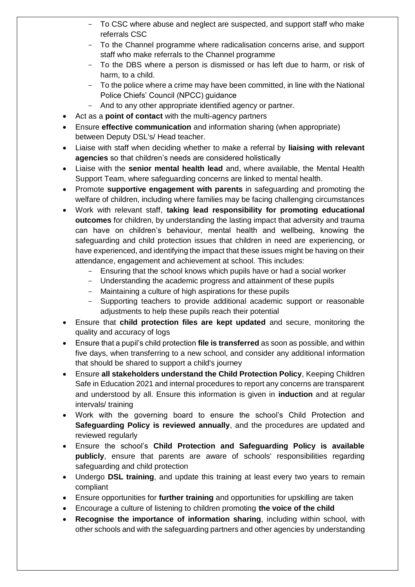- To CSC where abuse and neglect are suspected, and support staff who make referrals CSC
- To the Channel programme where radicalisation concerns arise, and support staff who make referrals to the Channel programme
- To the DBS where a person is dismissed or has left due to harm, or risk of harm, to a child.
- To the police where a crime may have been committed, in line with the National Police Chiefs' Council (NPCC) guidance
- And to any other appropriate identified agency or partner.
- Act as a **point of contact** with the multi-agency partners
- Ensure **effective communication** and information sharing (when appropriate) between Deputy DSL's/ Head teacher.
- Liaise with staff when deciding whether to make a referral by **liaising with relevant agencies** so that children's needs are considered holistically
- Liaise with the **senior mental health lead** and, where available, the Mental Health Support Team, where safeguarding concerns are linked to mental health.
- Promote **supportive engagement with parents** in safeguarding and promoting the welfare of children, including where families may be facing challenging circumstances
- Work with relevant staff, **taking lead responsibility for promoting educational outcomes** for children, by understanding the lasting impact that adversity and trauma can have on children's behaviour, mental health and wellbeing, knowing the safeguarding and child protection issues that children in need are experiencing, or have experienced, and identifying the impact that these issues might be having on their attendance, engagement and achievement at school. This includes:
	- Ensuring that the school knows which pupils have or had a social worker
	- Understanding the academic progress and attainment of these pupils
	- Maintaining a culture of high aspirations for these pupils
	- Supporting teachers to provide additional academic support or reasonable adjustments to help these pupils reach their potential
- Ensure that **child protection files are kept updated** and secure, monitoring the quality and accuracy of logs
- Ensure that a pupil's child protection **file is transferred** as soon as possible, and within five days, when transferring to a new school, and consider any additional information that should be shared to support a child's journey
- Ensure **all stakeholders understand the Child Protection Policy**, Keeping Children Safe in Education 2021 and internal procedures to report any concerns are transparent and understood by all. Ensure this information is given in **induction** and at regular intervals/ training
- Work with the governing board to ensure the school's Child Protection and **Safeguarding Policy is reviewed annually**, and the procedures are updated and reviewed regularly
- Ensure the school's **Child Protection and Safeguarding Policy is available publicly**, ensure that parents are aware of schools' responsibilities regarding safeguarding and child protection
- Undergo **DSL training**, and update this training at least every two years to remain compliant
- Ensure opportunities for **further training** and opportunities for upskilling are taken
- Encourage a culture of listening to children promoting **the voice of the child**
- **Recognise the importance of information sharing**, including within school, with other schools and with the safeguarding partners and other agencies by understanding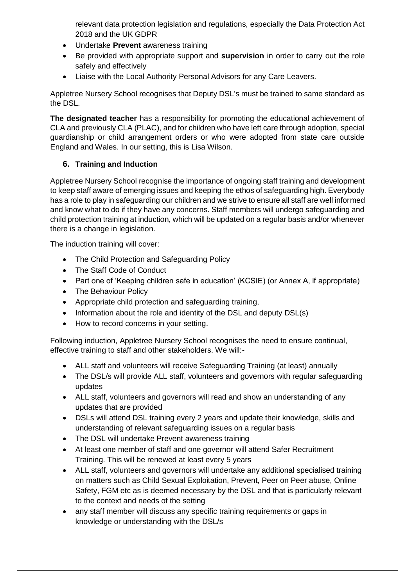relevant data protection legislation and regulations, especially the Data Protection Act 2018 and the UK GDPR

- Undertake **Prevent** awareness training
- Be provided with appropriate support and **supervision** in order to carry out the role safely and effectively
- Liaise with the Local Authority Personal Advisors for any Care Leavers.

Appletree Nursery School recognises that Deputy DSL's must be trained to same standard as the DSL.

**The designated teacher** has a responsibility for promoting the educational achievement of CLA and previously CLA (PLAC), and for children who have left care through adoption, special guardianship or child arrangement orders or who were adopted from state care outside England and Wales. In our setting, this is Lisa Wilson.

## **6. Training and Induction**

Appletree Nursery School recognise the importance of ongoing staff training and development to keep staff aware of emerging issues and keeping the ethos of safeguarding high. Everybody has a role to play in safeguarding our children and we strive to ensure all staff are well informed and know what to do if they have any concerns. Staff members will undergo safeguarding and child protection training at induction, which will be updated on a regular basis and/or whenever there is a change in legislation.

The induction training will cover:

- The Child Protection and Safeguarding Policy
- The Staff Code of Conduct
- Part one of 'Keeping children safe in education' (KCSIE) (or Annex A, if appropriate)
- The Behaviour Policy
- Appropriate child protection and safeguarding training,
- Information about the role and identity of the DSL and deputy DSL(s)
- How to record concerns in your setting.

Following induction, Appletree Nursery School recognises the need to ensure continual, effective training to staff and other stakeholders. We will:-

- ALL staff and volunteers will receive Safeguarding Training (at least) annually
- The DSL/s will provide ALL staff, volunteers and governors with regular safeguarding updates
- ALL staff, volunteers and governors will read and show an understanding of any updates that are provided
- DSLs will attend DSL training every 2 years and update their knowledge, skills and understanding of relevant safeguarding issues on a regular basis
- The DSL will undertake Prevent awareness training
- At least one member of staff and one governor will attend Safer Recruitment Training. This will be renewed at least every 5 years
- ALL staff, volunteers and governors will undertake any additional specialised training on matters such as Child Sexual Exploitation, Prevent, Peer on Peer abuse, Online Safety, FGM etc as is deemed necessary by the DSL and that is particularly relevant to the context and needs of the setting
- any staff member will discuss any specific training requirements or gaps in knowledge or understanding with the DSL/s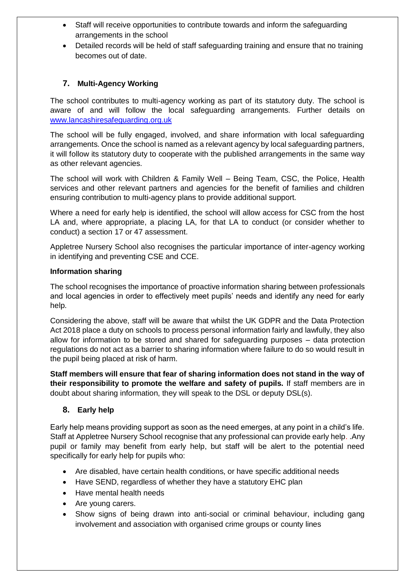- Staff will receive opportunities to contribute towards and inform the safeguarding arrangements in the school
- Detailed records will be held of staff safeguarding training and ensure that no training becomes out of date.

# **7. Multi-Agency Working**

The school contributes to multi-agency working as part of its statutory duty. The school is aware of and will follow the local safeguarding arrangements. Further details on [www.lancashiresafeguarding.org.uk](http://www.lancashiresafeguarding.org.uk/)

The school will be fully engaged, involved, and share information with local safeguarding arrangements. Once the school is named as a relevant agency by local safeguarding partners, it will follow its statutory duty to cooperate with the published arrangements in the same way as other relevant agencies.

The school will work with Children & Family Well – Being Team, CSC, the Police, Health services and other relevant partners and agencies for the benefit of families and children ensuring contribution to multi-agency plans to provide additional support.

Where a need for early help is identified, the school will allow access for CSC from the host LA and, where appropriate, a placing LA, for that LA to conduct (or consider whether to conduct) a section 17 or 47 assessment.

Appletree Nursery School also recognises the particular importance of inter-agency working in identifying and preventing CSE and CCE.

#### **Information sharing**

The school recognises the importance of proactive information sharing between professionals and local agencies in order to effectively meet pupils' needs and identify any need for early help.

Considering the above, staff will be aware that whilst the UK GDPR and the Data Protection Act 2018 place a duty on schools to process personal information fairly and lawfully, they also allow for information to be stored and shared for safeguarding purposes – data protection regulations do not act as a barrier to sharing information where failure to do so would result in the pupil being placed at risk of harm.

**Staff members will ensure that fear of sharing information does not stand in the way of their responsibility to promote the welfare and safety of pupils.** If staff members are in doubt about sharing information, they will speak to the DSL or deputy DSL(s).

## **8. Early help**

Early help means providing support as soon as the need emerges, at any point in a child's life. Staff at Appletree Nursery School recognise that any professional can provide early help. .Any pupil or family may benefit from early help, but staff will be alert to the potential need specifically for early help for pupils who:

- Are disabled, have certain health conditions, or have specific additional needs
- Have SEND, regardless of whether they have a statutory EHC plan
- Have mental health needs
- Are young carers.
- Show signs of being drawn into anti-social or criminal behaviour, including gang involvement and association with organised crime groups or county lines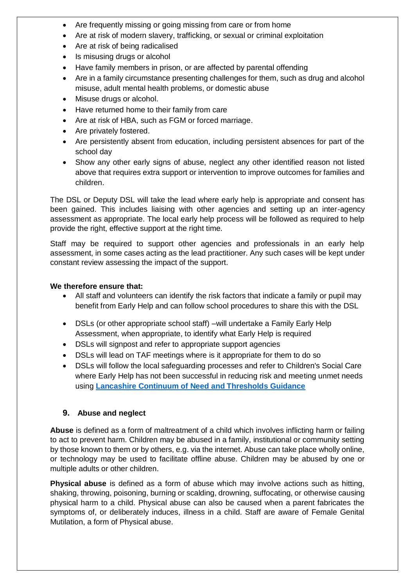- Are frequently missing or going missing from care or from home
- Are at risk of modern slavery, trafficking, or sexual or criminal exploitation
- Are at risk of being radicalised
- Is misusing drugs or alcohol
- Have family members in prison, or are affected by parental offending
- Are in a family circumstance presenting challenges for them, such as drug and alcohol misuse, adult mental health problems, or domestic abuse
- Misuse drugs or alcohol.
- Have returned home to their family from care
- Are at risk of HBA, such as FGM or forced marriage.
- Are privately fostered.
- Are persistently absent from education, including persistent absences for part of the school day
- Show any other early signs of abuse, neglect any other identified reason not listed above that requires extra support or intervention to improve outcomes for families and children.

The DSL or Deputy DSL will take the lead where early help is appropriate and consent has been gained. This includes liaising with other agencies and setting up an inter-agency assessment as appropriate. The local early help process will be followed as required to help provide the right, effective support at the right time.

Staff may be required to support other agencies and professionals in an early help assessment, in some cases acting as the lead practitioner. Any such cases will be kept under constant review assessing the impact of the support.

#### **We therefore ensure that:**

- All staff and volunteers can identify the risk factors that indicate a family or pupil may benefit from Early Help and can follow school procedures to share this with the DSL
- DSLs (or other appropriate school staff) –will undertake a Family Early Help Assessment, when appropriate, to identify what Early Help is required
- DSLs will signpost and refer to appropriate support agencies
- DSLs will lead on TAF meetings where is it appropriate for them to do so
- DSLs will follow the local safeguarding processes and refer to Children's Social Care where Early Help has not been successful in reducing risk and meeting unmet needs using **[Lancashire Continuum of Need and Thresholds Guidance](http://www.lancashiresafeguarding.org.uk/resources/assessment-and-referral.aspx)**

## **9. Abuse and neglect**

**Abuse** is defined as a form of maltreatment of a child which involves inflicting harm or failing to act to prevent harm. Children may be abused in a family, institutional or community setting by those known to them or by others, e.g. via the internet. Abuse can take place wholly online, or technology may be used to facilitate offline abuse. Children may be abused by one or multiple adults or other children.

**Physical abuse** is defined as a form of abuse which may involve actions such as hitting, shaking, throwing, poisoning, burning or scalding, drowning, suffocating, or otherwise causing physical harm to a child. Physical abuse can also be caused when a parent fabricates the symptoms of, or deliberately induces, illness in a child. Staff are aware of Female Genital Mutilation, a form of Physical abuse.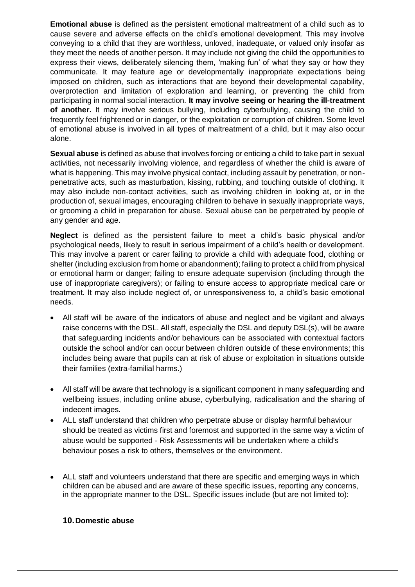**Emotional abuse** is defined as the persistent emotional maltreatment of a child such as to cause severe and adverse effects on the child's emotional development. This may involve conveying to a child that they are worthless, unloved, inadequate, or valued only insofar as they meet the needs of another person. It may include not giving the child the opportunities to express their views, deliberately silencing them, 'making fun' of what they say or how they communicate. It may feature age or developmentally inappropriate expectations being imposed on children, such as interactions that are beyond their developmental capability, overprotection and limitation of exploration and learning, or preventing the child from participating in normal social interaction. **It may involve seeing or hearing the ill-treatment of another.** It may involve serious bullying, including cyberbullying, causing the child to frequently feel frightened or in danger, or the exploitation or corruption of children. Some level of emotional abuse is involved in all types of maltreatment of a child, but it may also occur alone.

**Sexual abuse** is defined as abuse that involves forcing or enticing a child to take part in sexual activities, not necessarily involving violence, and regardless of whether the child is aware of what is happening. This may involve physical contact, including assault by penetration, or nonpenetrative acts, such as masturbation, kissing, rubbing, and touching outside of clothing. It may also include non-contact activities, such as involving children in looking at, or in the production of, sexual images, encouraging children to behave in sexually inappropriate ways, or grooming a child in preparation for abuse. Sexual abuse can be perpetrated by people of any gender and age.

**Neglect** is defined as the persistent failure to meet a child's basic physical and/or psychological needs, likely to result in serious impairment of a child's health or development. This may involve a parent or carer failing to provide a child with adequate food, clothing or shelter (including exclusion from home or abandonment); failing to protect a child from physical or emotional harm or danger; failing to ensure adequate supervision (including through the use of inappropriate caregivers); or failing to ensure access to appropriate medical care or treatment. It may also include neglect of, or unresponsiveness to, a child's basic emotional needs.

- All staff will be aware of the indicators of abuse and neglect and be vigilant and always raise concerns with the DSL. All staff, especially the DSL and deputy DSL(s), will be aware that safeguarding incidents and/or behaviours can be associated with contextual factors outside the school and/or can occur between children outside of these environments; this includes being aware that pupils can at risk of abuse or exploitation in situations outside their families (extra-familial harms.)
- All staff will be aware that technology is a significant component in many safeguarding and wellbeing issues, including online abuse, cyberbullying, radicalisation and the sharing of indecent images.
- ALL staff understand that children who perpetrate abuse or display harmful behaviour should be treated as victims first and foremost and supported in the same way a victim of abuse would be supported - Risk Assessments will be undertaken where a child's behaviour poses a risk to others, themselves or the environment.
- ALL staff and volunteers understand that there are specific and emerging ways in which children can be abused and are aware of these specific issues, reporting any concerns, in the appropriate manner to the DSL. Specific issues include (but are not limited to):

## **10.Domestic abuse**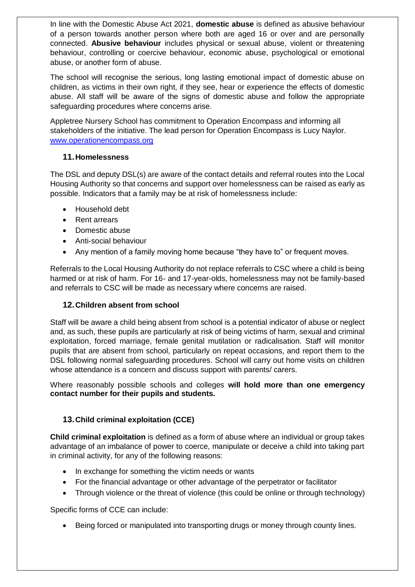In line with the Domestic Abuse Act 2021, **domestic abuse** is defined as abusive behaviour of a person towards another person where both are aged 16 or over and are personally connected. **Abusive behaviour** includes physical or sexual abuse, violent or threatening behaviour, controlling or coercive behaviour, economic abuse, psychological or emotional abuse, or another form of abuse.

The school will recognise the serious, long lasting emotional impact of domestic abuse on children, as victims in their own right, if they see, hear or experience the effects of domestic abuse. All staff will be aware of the signs of domestic abuse and follow the appropriate safeguarding procedures where concerns arise.

Appletree Nursery School has commitment to Operation Encompass and informing all stakeholders of the initiative. The lead person for Operation Encompass is Lucy Naylor. [www.operationencompass.org](http://www.operationencompass.org/)

## **11.Homelessness**

The DSL and deputy DSL(s) are aware of the contact details and referral routes into the Local Housing Authority so that concerns and support over homelessness can be raised as early as possible. Indicators that a family may be at risk of homelessness include:

- Household debt
- Rent arrears
- Domestic abuse
- Anti-social behaviour
- Any mention of a family moving home because "they have to" or frequent moves.

Referrals to the Local Housing Authority do not replace referrals to CSC where a child is being harmed or at risk of harm. For 16- and 17-year-olds, homelessness may not be family-based and referrals to CSC will be made as necessary where concerns are raised.

## **12.Children absent from school**

Staff will be aware a child being absent from school is a potential indicator of abuse or neglect and, as such, these pupils are particularly at risk of being victims of harm, sexual and criminal exploitation, forced marriage, female genital mutilation or radicalisation. Staff will monitor pupils that are absent from school, particularly on repeat occasions, and report them to the DSL following normal safeguarding procedures. School will carry out home visits on children whose attendance is a concern and discuss support with parents/ carers.

Where reasonably possible schools and colleges **will hold more than one emergency contact number for their pupils and students.**

## **13.Child criminal exploitation (CCE)**

**Child criminal exploitation** is defined as a form of abuse where an individual or group takes advantage of an imbalance of power to coerce, manipulate or deceive a child into taking part in criminal activity, for any of the following reasons:

- In exchange for something the victim needs or wants
- For the financial advantage or other advantage of the perpetrator or facilitator
- Through violence or the threat of violence (this could be online or through technology)

Specific forms of CCE can include:

• Being forced or manipulated into transporting drugs or money through county lines.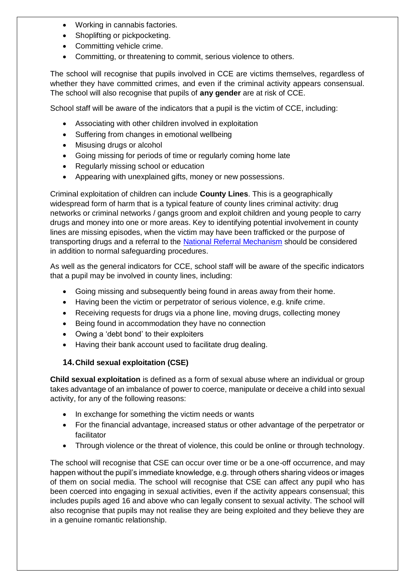- Working in cannabis factories.
- Shoplifting or pickpocketing.
- Committing vehicle crime.
- Committing, or threatening to commit, serious violence to others.

The school will recognise that pupils involved in CCE are victims themselves, regardless of whether they have committed crimes, and even if the criminal activity appears consensual. The school will also recognise that pupils of **any gender** are at risk of CCE.

School staff will be aware of the indicators that a pupil is the victim of CCE, including:

- Associating with other children involved in exploitation
- Suffering from changes in emotional wellbeing
- Misusing drugs or alcohol
- Going missing for periods of time or regularly coming home late
- Regularly missing school or education
- Appearing with unexplained gifts, money or new possessions.

Criminal exploitation of children can include **County Lines**. This is a geographically widespread form of harm that is a typical feature of county lines criminal activity: drug networks or criminal networks / gangs groom and exploit children and young people to carry drugs and money into one or more areas. Key to identifying potential involvement in county lines are missing episodes, when the victim may have been trafficked or the purpose of transporting drugs and a referral to the [National Referral Mechanism](https://www.gov.uk/government/publications/human-trafficking-victims-referral-and-assessment-forms/guidance-on-the-national-referral-mechanism-for-potential-adult-victims-of-modern-slavery-england-and-wales#what-the-national-referral-mechanism-is) should be considered in addition to normal safeguarding procedures.

As well as the general indicators for CCE, school staff will be aware of the specific indicators that a pupil may be involved in county lines, including:

- Going missing and subsequently being found in areas away from their home.
- Having been the victim or perpetrator of serious violence, e.g. knife crime.
- Receiving requests for drugs via a phone line, moving drugs, collecting money
- Being found in accommodation they have no connection
- Owing a 'debt bond' to their exploiters
- Having their bank account used to facilitate drug dealing.

#### **14.Child sexual exploitation (CSE)**

**Child sexual exploitation** is defined as a form of sexual abuse where an individual or group takes advantage of an imbalance of power to coerce, manipulate or deceive a child into sexual activity, for any of the following reasons:

- In exchange for something the victim needs or wants
- For the financial advantage, increased status or other advantage of the perpetrator or facilitator
- Through violence or the threat of violence, this could be online or through technology.

The school will recognise that CSE can occur over time or be a one-off occurrence, and may happen without the pupil's immediate knowledge, e.g. through others sharing videos or images of them on social media. The school will recognise that CSE can affect any pupil who has been coerced into engaging in sexual activities, even if the activity appears consensual; this includes pupils aged 16 and above who can legally consent to sexual activity. The school will also recognise that pupils may not realise they are being exploited and they believe they are in a genuine romantic relationship.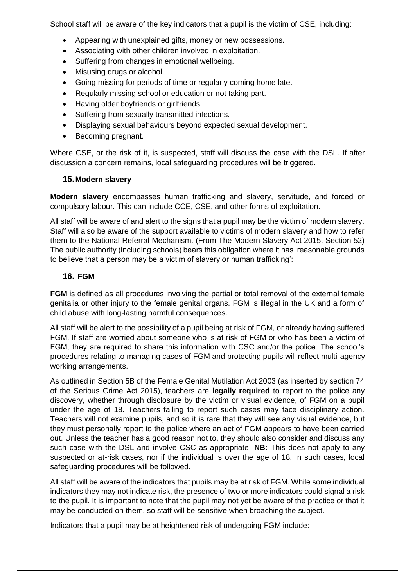School staff will be aware of the key indicators that a pupil is the victim of CSE, including:

- Appearing with unexplained gifts, money or new possessions.
- Associating with other children involved in exploitation.
- Suffering from changes in emotional wellbeing.
- Misusing drugs or alcohol.
- Going missing for periods of time or regularly coming home late.
- Regularly missing school or education or not taking part.
- Having older boyfriends or girlfriends.
- Suffering from sexually transmitted infections.
- Displaying sexual behaviours beyond expected sexual development.
- Becoming pregnant.

Where CSE, or the risk of it, is suspected, staff will discuss the case with the DSL. If after discussion a concern remains, local safeguarding procedures will be triggered.

## **15.Modern slavery**

**Modern slavery** encompasses human trafficking and slavery, servitude, and forced or compulsory labour. This can include CCE, CSE, and other forms of exploitation.

All staff will be aware of and alert to the signs that a pupil may be the victim of modern slavery. Staff will also be aware of the support available to victims of modern slavery and how to refer them to the National Referral Mechanism. (From The Modern Slavery Act 2015, Section 52) The public authority (including schools) bears this obligation where it has 'reasonable grounds to believe that a person may be a victim of slavery or human trafficking':

## **16. FGM**

**FGM** is defined as all procedures involving the partial or total removal of the external female genitalia or other injury to the female genital organs. FGM is illegal in the UK and a form of child abuse with long-lasting harmful consequences.

All staff will be alert to the possibility of a pupil being at risk of FGM, or already having suffered FGM. If staff are worried about someone who is at risk of FGM or who has been a victim of FGM, they are required to share this information with CSC and/or the police. The school's procedures relating to managing cases of FGM and protecting pupils will reflect multi-agency working arrangements.

As outlined in Section 5B of the Female Genital Mutilation Act 2003 (as inserted by section 74 of the Serious Crime Act 2015), teachers are **legally required** to report to the police any discovery, whether through disclosure by the victim or visual evidence, of FGM on a pupil under the age of 18. Teachers failing to report such cases may face disciplinary action. Teachers will not examine pupils, and so it is rare that they will see any visual evidence, but they must personally report to the police where an act of FGM appears to have been carried out. Unless the teacher has a good reason not to, they should also consider and discuss any such case with the DSL and involve CSC as appropriate. **NB:** This does not apply to any suspected or at-risk cases, nor if the individual is over the age of 18. In such cases, local safeguarding procedures will be followed.

All staff will be aware of the indicators that pupils may be at risk of FGM. While some individual indicators they may not indicate risk, the presence of two or more indicators could signal a risk to the pupil. It is important to note that the pupil may not yet be aware of the practice or that it may be conducted on them, so staff will be sensitive when broaching the subject.

Indicators that a pupil may be at heightened risk of undergoing FGM include: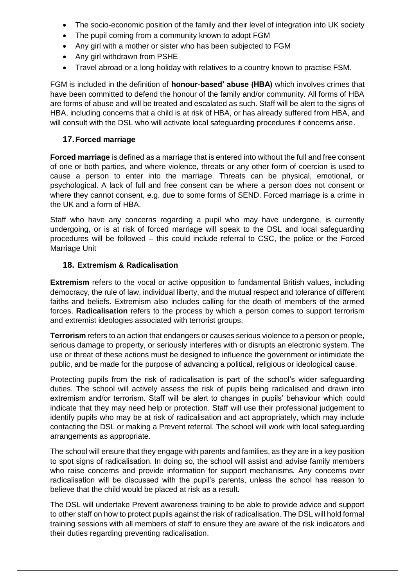- The socio-economic position of the family and their level of integration into UK society
- The pupil coming from a community known to adopt FGM
- Any girl with a mother or sister who has been subjected to FGM
- Any girl withdrawn from PSHE
- Travel abroad or a long holiday with relatives to a country known to practise FSM.

FGM is included in the definition of **honour-based' abuse (HBA)** which involves crimes that have been committed to defend the honour of the family and/or community. All forms of HBA are forms of abuse and will be treated and escalated as such. Staff will be alert to the signs of HBA, including concerns that a child is at risk of HBA, or has already suffered from HBA, and will consult with the DSL who will activate local safeguarding procedures if concerns arise.

#### **17.Forced marriage**

**Forced marriage** is defined as a marriage that is entered into without the full and free consent of one or both parties, and where violence, threats or any other form of coercion is used to cause a person to enter into the marriage. Threats can be physical, emotional, or psychological. A lack of full and free consent can be where a person does not consent or where they cannot consent, e.g. due to some forms of SEND. Forced marriage is a crime in the UK and a form of HBA.

Staff who have any concerns regarding a pupil who may have undergone, is currently undergoing, or is at risk of forced marriage will speak to the DSL and local safeguarding procedures will be followed – this could include referral to CSC, the police or the Forced Marriage Unit

#### **18. Extremism & Radicalisation**

**Extremism** refers to the vocal or active opposition to fundamental British values, including democracy, the rule of law, individual liberty, and the mutual respect and tolerance of different faiths and beliefs. Extremism also includes calling for the death of members of the armed forces. **Radicalisation** refers to the process by which a person comes to support terrorism and extremist ideologies associated with terrorist groups.

**Terrorism** refers to an action that endangers or causes serious violence to a person or people, serious damage to property, or seriously interferes with or disrupts an electronic system. The use or threat of these actions must be designed to influence the government or intimidate the public, and be made for the purpose of advancing a political, religious or ideological cause.

Protecting pupils from the risk of radicalisation is part of the school's wider safeguarding duties. The school will actively assess the risk of pupils being radicalised and drawn into extremism and/or terrorism. Staff will be alert to changes in pupils' behaviour which could indicate that they may need help or protection. Staff will use their professional judgement to identify pupils who may be at risk of radicalisation and act appropriately, which may include contacting the DSL or making a Prevent referral. The school will work with local safeguarding arrangements as appropriate.

The school will ensure that they engage with parents and families, as they are in a key position to spot signs of radicalisation. In doing so, the school will assist and advise family members who raise concerns and provide information for support mechanisms. Any concerns over radicalisation will be discussed with the pupil's parents, unless the school has reason to believe that the child would be placed at risk as a result.

The DSL will undertake Prevent awareness training to be able to provide advice and support to other staff on how to protect pupils against the risk of radicalisation. The DSL will hold formal training sessions with all members of staff to ensure they are aware of the risk indicators and their duties regarding preventing radicalisation.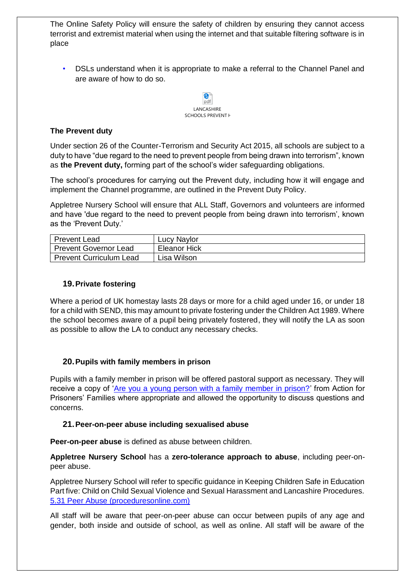The Online Safety Policy will ensure the safety of children by ensuring they cannot access terrorist and extremist material when using the internet and that suitable filtering software is in place

• DSLs understand when it is appropriate to make a referral to the Channel Panel and are aware of how to do so.



#### **The Prevent duty**

Under section 26 of the Counter-Terrorism and Security Act 2015, all schools are subject to a duty to have "due regard to the need to prevent people from being drawn into terrorism", known as **the Prevent duty,** forming part of the school's wider safeguarding obligations.

The school's procedures for carrying out the Prevent duty, including how it will engage and implement the Channel programme, are outlined in the Prevent Duty Policy.

Appletree Nursery School will ensure that ALL Staff, Governors and volunteers are informed and have 'due regard to the need to prevent people from being drawn into terrorism', known as the 'Prevent Duty.'

| <b>Prevent Lead</b>            | Lucy Naylor  |
|--------------------------------|--------------|
| <b>Prevent Governor Lead</b>   | Eleanor Hick |
| <b>Prevent Curriculum Lead</b> | Lisa Wilson  |

## **19.Private fostering**

Where a period of UK homestay lasts 28 days or more for a child aged under 16, or under 18 for a child with SEND, this may amount to private fostering under the Children Act 1989. Where the school becomes aware of a pupil being privately fostered, they will notify the LA as soon as possible to allow the LA to conduct any necessary checks.

## **20.Pupils with family members in prison**

Pupils with a family member in prison will be offered pastoral support as necessary. They will receive a copy of ['Are you a young person with a family member in prison?'](https://www.nicco.org.uk/directory-of-resources) from Action for Prisoners' Families where appropriate and allowed the opportunity to discuss questions and concerns.

#### **21.Peer-on-peer abuse including sexualised abuse**

**Peer-on-peer abuse** is defined as abuse between children.

**Appletree Nursery School** has a **zero-tolerance approach to abuse**, including peer-onpeer abuse.

Appletree Nursery School will refer to specific guidance in Keeping Children Safe in Education Part five: Child on Child Sexual Violence and Sexual Harassment and Lancashire Procedures. [5.31 Peer Abuse \(proceduresonline.com\)](https://panlancashirescb.proceduresonline.com/chapters/p_peer_abuse.html)

All staff will be aware that peer-on-peer abuse can occur between pupils of any age and gender, both inside and outside of school, as well as online. All staff will be aware of the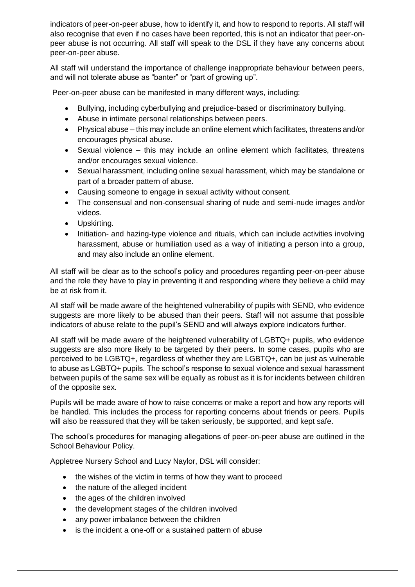indicators of peer-on-peer abuse, how to identify it, and how to respond to reports. All staff will also recognise that even if no cases have been reported, this is not an indicator that peer-onpeer abuse is not occurring. All staff will speak to the DSL if they have any concerns about peer-on-peer abuse.

All staff will understand the importance of challenge inappropriate behaviour between peers, and will not tolerate abuse as "banter" or "part of growing up".

Peer-on-peer abuse can be manifested in many different ways, including:

- Bullying, including cyberbullying and prejudice-based or discriminatory bullying.
- Abuse in intimate personal relationships between peers.
- Physical abuse this may include an online element which facilitates, threatens and/or encourages physical abuse.
- Sexual violence this may include an online element which facilitates, threatens and/or encourages sexual violence.
- Sexual harassment, including online sexual harassment, which may be standalone or part of a broader pattern of abuse.
- Causing someone to engage in sexual activity without consent.
- The consensual and non-consensual sharing of nude and semi-nude images and/or videos.
- Upskirting.
- Initiation- and hazing-type violence and rituals, which can include activities involving harassment, abuse or humiliation used as a way of initiating a person into a group, and may also include an online element.

All staff will be clear as to the school's policy and procedures regarding peer-on-peer abuse and the role they have to play in preventing it and responding where they believe a child may be at risk from it.

All staff will be made aware of the heightened vulnerability of pupils with SEND, who evidence suggests are more likely to be abused than their peers. Staff will not assume that possible indicators of abuse relate to the pupil's SEND and will always explore indicators further.

All staff will be made aware of the heightened vulnerability of LGBTQ+ pupils, who evidence suggests are also more likely to be targeted by their peers. In some cases, pupils who are perceived to be LGBTQ+, regardless of whether they are LGBTQ+, can be just as vulnerable to abuse as LGBTQ+ pupils. The school's response to sexual violence and sexual harassment between pupils of the same sex will be equally as robust as it is for incidents between children of the opposite sex.

Pupils will be made aware of how to raise concerns or make a report and how any reports will be handled. This includes the process for reporting concerns about friends or peers. Pupils will also be reassured that they will be taken seriously, be supported, and kept safe.

The school's procedures for managing allegations of peer-on-peer abuse are outlined in the School Behaviour Policy.

Appletree Nursery School and Lucy Naylor, DSL will consider:

- the wishes of the victim in terms of how they want to proceed
- the nature of the alleged incident
- the ages of the children involved
- the development stages of the children involved
- any power imbalance between the children
- is the incident a one-off or a sustained pattern of abuse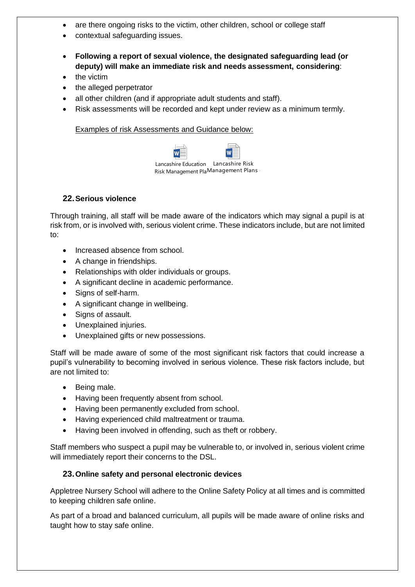- are there ongoing risks to the victim, other children, school or college staff
- contextual safeguarding issues.
- **Following a report of sexual violence, the designated safeguarding lead (or deputy) will make an immediate risk and needs assessment, considering**:
- the victim
- the alleged perpetrator
- all other children (and if appropriate adult students and staff).
- Risk assessments will be recorded and kept under review as a minimum termly.

Examples of risk Assessments and Guidance below:

| เcashire Education | Lancashire Risk |
|--------------------|-----------------|

Lan Risk Management PlaManagement Plans -

#### **22.Serious violence**

Through training, all staff will be made aware of the indicators which may signal a pupil is at risk from, or is involved with, serious violent crime. These indicators include, but are not limited to:

- Increased absence from school.
- A change in friendships.
- Relationships with older individuals or groups.
- A significant decline in academic performance.
- Signs of self-harm.
- A significant change in wellbeing.
- Signs of assault.
- Unexplained injuries.
- Unexplained gifts or new possessions.

Staff will be made aware of some of the most significant risk factors that could increase a pupil's vulnerability to becoming involved in serious violence. These risk factors include, but are not limited to:

- Being male.
- Having been frequently absent from school.
- Having been permanently excluded from school.
- Having experienced child maltreatment or trauma.
- Having been involved in offending, such as theft or robbery.

Staff members who suspect a pupil may be vulnerable to, or involved in, serious violent crime will immediately report their concerns to the DSL.

#### **23.Online safety and personal electronic devices**

Appletree Nursery School will adhere to the Online Safety Policy at all times and is committed to keeping children safe online.

As part of a broad and balanced curriculum, all pupils will be made aware of online risks and taught how to stay safe online.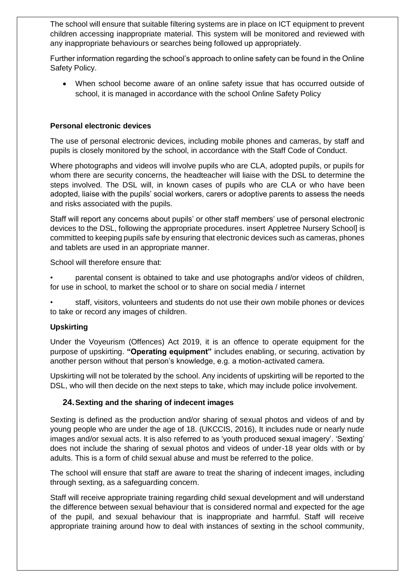The school will ensure that suitable filtering systems are in place on ICT equipment to prevent children accessing inappropriate material. This system will be monitored and reviewed with any inappropriate behaviours or searches being followed up appropriately.

Further information regarding the school's approach to online safety can be found in the Online Safety Policy.

• When school become aware of an online safety issue that has occurred outside of school, it is managed in accordance with the school Online Safety Policy

## **Personal electronic devices**

The use of personal electronic devices, including mobile phones and cameras, by staff and pupils is closely monitored by the school, in accordance with the Staff Code of Conduct.

Where photographs and videos will involve pupils who are CLA, adopted pupils, or pupils for whom there are security concerns, the headteacher will liaise with the DSL to determine the steps involved. The DSL will, in known cases of pupils who are CLA or who have been adopted, liaise with the pupils' social workers, carers or adoptive parents to assess the needs and risks associated with the pupils.

Staff will report any concerns about pupils' or other staff members' use of personal electronic devices to the DSL, following the appropriate procedures. insert Appletree Nursery School] is committed to keeping pupils safe by ensuring that electronic devices such as cameras, phones and tablets are used in an appropriate manner.

School will therefore ensure that:

• parental consent is obtained to take and use photographs and/or videos of children, for use in school, to market the school or to share on social media / internet

• staff, visitors, volunteers and students do not use their own mobile phones or devices to take or record any images of children.

#### **Upskirting**

Under the Voyeurism (Offences) Act 2019, it is an offence to operate equipment for the purpose of upskirting. **"Operating equipment"** includes enabling, or securing, activation by another person without that person's knowledge, e.g. a motion-activated camera.

Upskirting will not be tolerated by the school. Any incidents of upskirting will be reported to the DSL, who will then decide on the next steps to take, which may include police involvement.

## **24.Sexting and the sharing of indecent images**

Sexting is defined as the production and/or sharing of sexual photos and videos of and by young people who are under the age of 18. (UKCCIS, 2016), It includes nude or nearly nude images and/or sexual acts. It is also referred to as 'youth produced sexual imagery'. 'Sexting' does not include the sharing of sexual photos and videos of under-18 year olds with or by adults. This is a form of child sexual abuse and must be referred to the police.

The school will ensure that staff are aware to treat the sharing of indecent images, including through sexting, as a safeguarding concern.

Staff will receive appropriate training regarding child sexual development and will understand the difference between sexual behaviour that is considered normal and expected for the age of the pupil, and sexual behaviour that is inappropriate and harmful. Staff will receive appropriate training around how to deal with instances of sexting in the school community,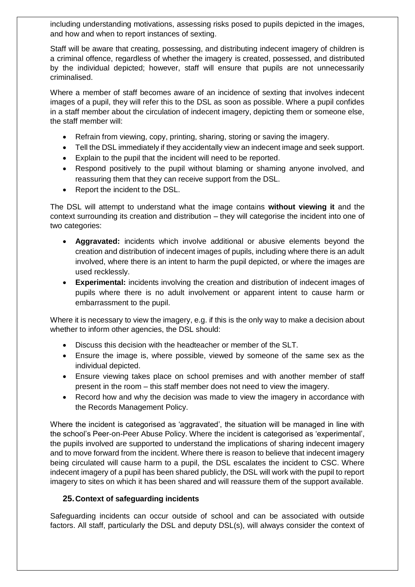including understanding motivations, assessing risks posed to pupils depicted in the images, and how and when to report instances of sexting.

Staff will be aware that creating, possessing, and distributing indecent imagery of children is a criminal offence, regardless of whether the imagery is created, possessed, and distributed by the individual depicted; however, staff will ensure that pupils are not unnecessarily criminalised.

Where a member of staff becomes aware of an incidence of sexting that involves indecent images of a pupil, they will refer this to the DSL as soon as possible. Where a pupil confides in a staff member about the circulation of indecent imagery, depicting them or someone else, the staff member will:

- Refrain from viewing, copy, printing, sharing, storing or saving the imagery.
- Tell the DSL immediately if they accidentally view an indecent image and seek support.
- Explain to the pupil that the incident will need to be reported.
- Respond positively to the pupil without blaming or shaming anyone involved, and reassuring them that they can receive support from the DSL.
- Report the incident to the DSL.

The DSL will attempt to understand what the image contains **without viewing it** and the context surrounding its creation and distribution – they will categorise the incident into one of two categories:

- **Aggravated:** incidents which involve additional or abusive elements beyond the creation and distribution of indecent images of pupils, including where there is an adult involved, where there is an intent to harm the pupil depicted, or where the images are used recklessly.
- **Experimental:** incidents involving the creation and distribution of indecent images of pupils where there is no adult involvement or apparent intent to cause harm or embarrassment to the pupil.

Where it is necessary to view the imagery, e.g. if this is the only way to make a decision about whether to inform other agencies, the DSL should:

- Discuss this decision with the headteacher or member of the SLT.
- Ensure the image is, where possible, viewed by someone of the same sex as the individual depicted.
- Ensure viewing takes place on school premises and with another member of staff present in the room – this staff member does not need to view the imagery.
- Record how and why the decision was made to view the imagery in accordance with the Records Management Policy.

Where the incident is categorised as 'aggravated', the situation will be managed in line with the school's Peer-on-Peer Abuse Policy. Where the incident is categorised as 'experimental', the pupils involved are supported to understand the implications of sharing indecent imagery and to move forward from the incident. Where there is reason to believe that indecent imagery being circulated will cause harm to a pupil, the DSL escalates the incident to CSC. Where indecent imagery of a pupil has been shared publicly, the DSL will work with the pupil to report imagery to sites on which it has been shared and will reassure them of the support available.

## **25.Context of safeguarding incidents**

Safeguarding incidents can occur outside of school and can be associated with outside factors. All staff, particularly the DSL and deputy DSL(s), will always consider the context of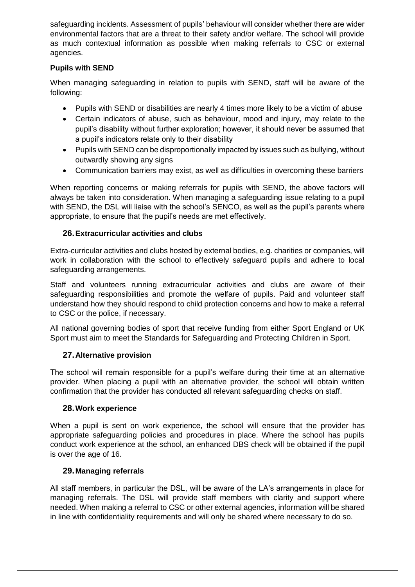safeguarding incidents. Assessment of pupils' behaviour will consider whether there are wider environmental factors that are a threat to their safety and/or welfare. The school will provide as much contextual information as possible when making referrals to CSC or external agencies.

## **Pupils with SEND**

When managing safeguarding in relation to pupils with SEND, staff will be aware of the following:

- Pupils with SEND or disabilities are nearly 4 times more likely to be a victim of abuse
- Certain indicators of abuse, such as behaviour, mood and injury, may relate to the pupil's disability without further exploration; however, it should never be assumed that a pupil's indicators relate only to their disability
- Pupils with SEND can be disproportionally impacted by issues such as bullying, without outwardly showing any signs
- Communication barriers may exist, as well as difficulties in overcoming these barriers

When reporting concerns or making referrals for pupils with SEND, the above factors will always be taken into consideration. When managing a safeguarding issue relating to a pupil with SEND, the DSL will liaise with the school's SENCO, as well as the pupil's parents where appropriate, to ensure that the pupil's needs are met effectively.

#### **26.Extracurricular activities and clubs**

Extra-curricular activities and clubs hosted by external bodies, e.g. charities or companies, will work in collaboration with the school to effectively safeguard pupils and adhere to local safeguarding arrangements.

Staff and volunteers running extracurricular activities and clubs are aware of their safeguarding responsibilities and promote the welfare of pupils. Paid and volunteer staff understand how they should respond to child protection concerns and how to make a referral to CSC or the police, if necessary.

All national governing bodies of sport that receive funding from either Sport England or UK Sport must aim to meet the Standards for Safeguarding and Protecting Children in Sport.

## **27.Alternative provision**

The school will remain responsible for a pupil's welfare during their time at an alternative provider. When placing a pupil with an alternative provider, the school will obtain written confirmation that the provider has conducted all relevant safeguarding checks on staff.

#### **28.Work experience**

When a pupil is sent on work experience, the school will ensure that the provider has appropriate safeguarding policies and procedures in place. Where the school has pupils conduct work experience at the school, an enhanced DBS check will be obtained if the pupil is over the age of 16.

#### **29.Managing referrals**

All staff members, in particular the DSL, will be aware of the LA's arrangements in place for managing referrals. The DSL will provide staff members with clarity and support where needed. When making a referral to CSC or other external agencies, information will be shared in line with confidentiality requirements and will only be shared where necessary to do so.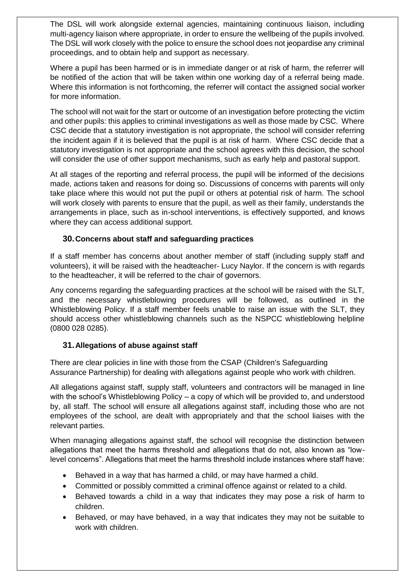The DSL will work alongside external agencies, maintaining continuous liaison, including multi-agency liaison where appropriate, in order to ensure the wellbeing of the pupils involved. The DSL will work closely with the police to ensure the school does not jeopardise any criminal proceedings, and to obtain help and support as necessary.

Where a pupil has been harmed or is in immediate danger or at risk of harm, the referrer will be notified of the action that will be taken within one working day of a referral being made. Where this information is not forthcoming, the referrer will contact the assigned social worker for more information.

The school will not wait for the start or outcome of an investigation before protecting the victim and other pupils: this applies to criminal investigations as well as those made by CSC. Where CSC decide that a statutory investigation is not appropriate, the school will consider referring the incident again if it is believed that the pupil is at risk of harm. Where CSC decide that a statutory investigation is not appropriate and the school agrees with this decision, the school will consider the use of other support mechanisms, such as early help and pastoral support.

At all stages of the reporting and referral process, the pupil will be informed of the decisions made, actions taken and reasons for doing so. Discussions of concerns with parents will only take place where this would not put the pupil or others at potential risk of harm. The school will work closely with parents to ensure that the pupil, as well as their family, understands the arrangements in place, such as in-school interventions, is effectively supported, and knows where they can access additional support.

## **30.Concerns about staff and safeguarding practices**

If a staff member has concerns about another member of staff (including supply staff and volunteers), it will be raised with the headteacher- Lucy Naylor. If the concern is with regards to the headteacher, it will be referred to the chair of governors.

Any concerns regarding the safeguarding practices at the school will be raised with the SLT, and the necessary whistleblowing procedures will be followed, as outlined in the Whistleblowing Policy. If a staff member feels unable to raise an issue with the SLT, they should access other whistleblowing channels such as the NSPCC whistleblowing helpline (0800 028 0285).

## **31.Allegations of abuse against staff**

There are clear policies in line with those from the CSAP (Children's Safeguarding Assurance Partnership) for dealing with allegations against people who work with children.

All allegations against staff, supply staff, volunteers and contractors will be managed in line with the school's Whistleblowing Policy – a copy of which will be provided to, and understood by, all staff. The school will ensure all allegations against staff, including those who are not employees of the school, are dealt with appropriately and that the school liaises with the relevant parties.

When managing allegations against staff, the school will recognise the distinction between allegations that meet the harms threshold and allegations that do not, also known as "lowlevel concerns". Allegations that meet the harms threshold include instances where staff have:

- Behaved in a way that has harmed a child, or may have harmed a child.
- Committed or possibly committed a criminal offence against or related to a child.
- Behaved towards a child in a way that indicates they may pose a risk of harm to children.
- Behaved, or may have behaved, in a way that indicates they may not be suitable to work with children.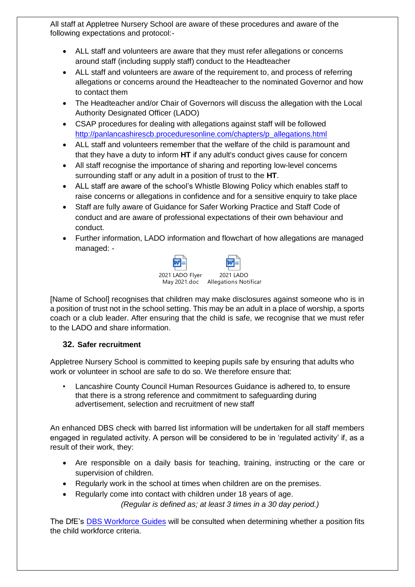All staff at Appletree Nursery School are aware of these procedures and aware of the following expectations and protocol:-

- ALL staff and volunteers are aware that they must refer allegations or concerns around staff (including supply staff) conduct to the Headteacher
- ALL staff and volunteers are aware of the requirement to, and process of referring allegations or concerns around the Headteacher to the nominated Governor and how to contact them
- The Headteacher and/or Chair of Governors will discuss the allegation with the Local Authority Designated Officer (LADO)
- CSAP procedures for dealing with allegations against staff will be followed [http://panlancashirescb.proceduresonline.com/chapters/p\\_allegations.html](http://panlancashirescb.proceduresonline.com/chapters/p_allegations.html)
- ALL staff and volunteers remember that the welfare of the child is paramount and that they have a duty to inform **HT** if any adult's conduct gives cause for concern
- All staff recognise the importance of sharing and reporting low-level concerns surrounding staff or any adult in a position of trust to the **HT**.
- ALL staff are aware of the school's Whistle Blowing Policy which enables staff to raise concerns or allegations in confidence and for a sensitive enquiry to take place
- Staff are fully aware of Guidance for Safer Working Practice and Staff Code of conduct and are aware of professional expectations of their own behaviour and conduct.
- Further information, LADO information and flowchart of how allegations are managed managed: -



[Name of School] recognises that children may make disclosures against someone who is in a position of trust not in the school setting. This may be an adult in a place of worship, a sports coach or a club leader. After ensuring that the child is safe, we recognise that we must refer to the LADO and share information.

# **32. Safer recruitment**

Appletree Nursery School is committed to keeping pupils safe by ensuring that adults who work or volunteer in school are safe to do so. We therefore ensure that:

• Lancashire County Council Human Resources Guidance is adhered to, to ensure that there is a strong reference and commitment to safeguarding during advertisement, selection and recruitment of new staff

An enhanced DBS check with barred list information will be undertaken for all staff members engaged in regulated activity. A person will be considered to be in 'regulated activity' if, as a result of their work, they:

- Are responsible on a daily basis for teaching, training, instructing or the care or supervision of children.
- Regularly work in the school at times when children are on the premises.
- Regularly come into contact with children under 18 years of age. *(Regular is defined as; at least 3 times in a 30 day period.)*

The DfE's [DBS Workforce Guides](https://www.gov.uk/government/publications/dbs-workforce-guidance) will be consulted when determining whether a position fits the child workforce criteria.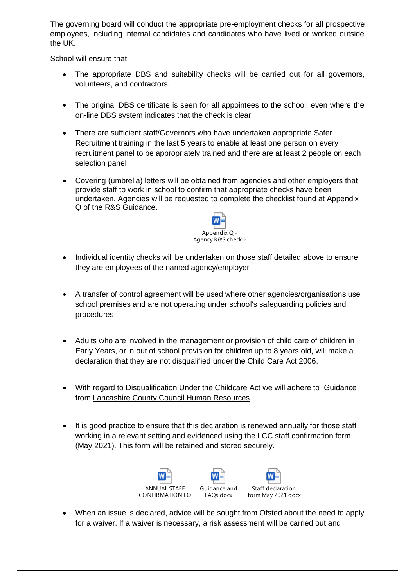The governing board will conduct the appropriate pre-employment checks for all prospective employees, including internal candidates and candidates who have lived or worked outside the UK.

School will ensure that:

- The appropriate DBS and suitability checks will be carried out for all governors, volunteers, and contractors.
- The original DBS certificate is seen for all appointees to the school, even where the on-line DBS system indicates that the check is clear
- There are sufficient staff/Governors who have undertaken appropriate Safer Recruitment training in the last 5 years to enable at least one person on every recruitment panel to be appropriately trained and there are at least 2 people on each selection panel
- Covering (umbrella) letters will be obtained from agencies and other employers that provide staff to work in school to confirm that appropriate checks have been undertaken. Agencies will be requested to complete the checklist found at Appendix Q of the R&S Guidance.



- Individual identity checks will be undertaken on those staff detailed above to ensure they are employees of the named agency/employer
- A transfer of control agreement will be used where other agencies/organisations use school premises and are not operating under school's safeguarding policies and procedures
- Adults who are involved in the management or provision of child care of children in Early Years, or in out of school provision for children up to 8 years old, will make a declaration that they are not disqualified under the Child Care Act 2006.
- With regard to Disqualification Under the Childcare Act we will adhere to Guidance from [Lancashire County Council Human Resources](file://///CorpData01/LCCUsers4$/vwallace001/My%20Documents/For%20portal/•%09https:/schoolsportal.lancsngfl.ac.uk/view_sp.asp%3fsiteid=4311&pageid=45826&e=e)
- It is good practice to ensure that this declaration is renewed annually for those staff working in a relevant setting and evidenced using the LCC staff confirmation form (May 2021). This form will be retained and stored securely.



• When an issue is declared, advice will be sought from Ofsted about the need to apply for a waiver. If a waiver is necessary, a risk assessment will be carried out and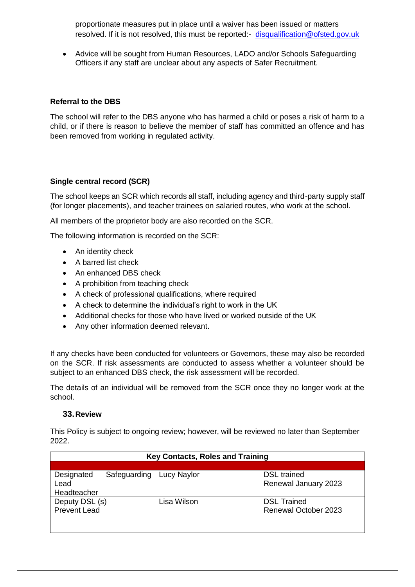proportionate measures put in place until a waiver has been issued or matters resolved. If it is not resolved, this must be reported:- [disqualification@ofsted.gov.uk](mailto:disqualification@ofsted.gov.uk)

• Advice will be sought from Human Resources, LADO and/or Schools Safeguarding Officers if any staff are unclear about any aspects of Safer Recruitment.

#### **Referral to the DBS**

The school will refer to the DBS anyone who has harmed a child or poses a risk of harm to a child, or if there is reason to believe the member of staff has committed an offence and has been removed from working in regulated activity.

#### **Single central record (SCR)**

The school keeps an SCR which records all staff, including agency and third-party supply staff (for longer placements), and teacher trainees on salaried routes, who work at the school.

All members of the proprietor body are also recorded on the SCR.

The following information is recorded on the SCR:

- An identity check
- A barred list check
- An enhanced DBS check
- A prohibition from teaching check
- A check of professional qualifications, where required
- A check to determine the individual's right to work in the UK
- Additional checks for those who have lived or worked outside of the UK
- Any other information deemed relevant.

If any checks have been conducted for volunteers or Governors, these may also be recorded on the SCR. If risk assessments are conducted to assess whether a volunteer should be subject to an enhanced DBS check, the risk assessment will be recorded.

The details of an individual will be removed from the SCR once they no longer work at the school.

#### **33.Review**

This Policy is subject to ongoing review; however, will be reviewed no later than September 2022.

| <b>Key Contacts, Roles and Training</b> |                    |                             |  |  |
|-----------------------------------------|--------------------|-----------------------------|--|--|
|                                         |                    |                             |  |  |
| Safeguarding  <br>Designated            | <b>Lucy Naylor</b> | <b>DSL</b> trained          |  |  |
| Lead                                    |                    | Renewal January 2023        |  |  |
| Headteacher                             |                    |                             |  |  |
| Deputy DSL (s)                          | Lisa Wilson        | <b>DSL Trained</b>          |  |  |
| <b>Prevent Lead</b>                     |                    | <b>Renewal October 2023</b> |  |  |
|                                         |                    |                             |  |  |
|                                         |                    |                             |  |  |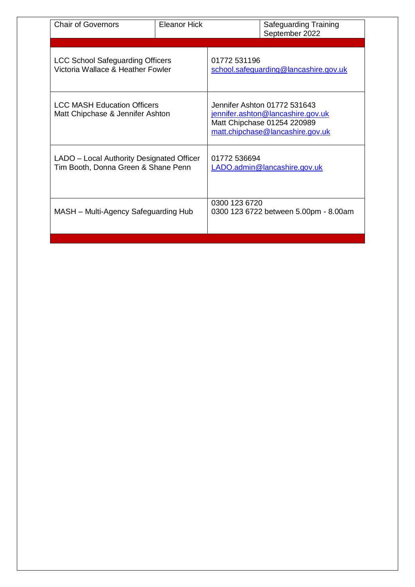| <b>Chair of Governors</b>                                                        | <b>Fleanor Hick</b> | <b>Safeguarding Training</b><br>September 2022                                                                                       |  |
|----------------------------------------------------------------------------------|---------------------|--------------------------------------------------------------------------------------------------------------------------------------|--|
|                                                                                  |                     |                                                                                                                                      |  |
| <b>LCC School Safeguarding Officers</b><br>Victoria Wallace & Heather Fowler     |                     | 01772 531196<br>school.safeguarding@lancashire.gov.uk                                                                                |  |
| <b>LCC MASH Education Officers</b><br>Matt Chipchase & Jennifer Ashton           |                     | Jennifer Ashton 01772 531643<br>jennifer.ashton@lancashire.gov.uk<br>Matt Chipchase 01254 220989<br>matt.chipchase@lancashire.gov.uk |  |
| LADO - Local Authority Designated Officer<br>Tim Booth, Donna Green & Shane Penn |                     | 01772 536694<br>LADO.admin@lancashire.gov.uk                                                                                         |  |
| MASH - Multi-Agency Safeguarding Hub                                             |                     | 0300 123 6720<br>0300 123 6722 between 5.00pm - 8.00am                                                                               |  |
|                                                                                  |                     |                                                                                                                                      |  |